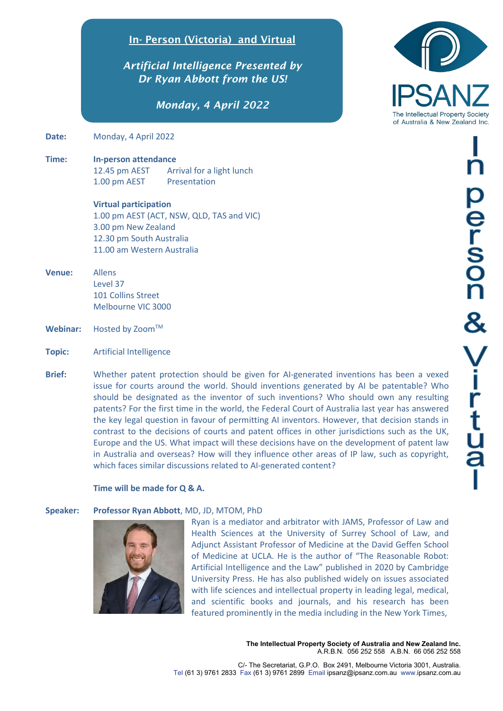## In- Person (Victoria) and Virtual

*Artificial Intelligence Presented by Dr Ryan Abbott from the US!*

*Monday, 4 April 2022*

**Date:** Monday, 4 April 2022

**Time: In-person attendance** 12.45 pm AEST Arrival for a light lunch 1.00 pm AEST Presentation

> **Virtual participation** 1.00 pm AEST (ACT, NSW, QLD, TAS and VIC) 3.00 pm New Zealand 12.30 pm South Australia 11.00 am Western Australia

- **Venue:** Allens Level 37 101 Collins Street Melbourne VIC 3000
- Webinar: Hosted by Zoom™
- **Topic:** Artificial Intelligence
- **Brief:** Whether patent protection should be given for AI-generated inventions has been a vexed issue for courts around the world. Should inventions generated by AI be patentable? Who should be designated as the inventor of such inventions? Who should own any resulting patents? For the first time in the world, the Federal Court of Australia last year has answered the key legal question in favour of permitting AI inventors. However, that decision stands in contrast to the decisions of courts and patent offices in other jurisdictions such as the UK, Europe and the US. What impact will these decisions have on the development of patent law in Australia and overseas? How will they influence other areas of IP law, such as copyright, which faces similar discussions related to AI-generated content?

### **Time will be made for Q & A.**

### **Speaker: Professor Ryan Abbott**, MD, JD, MTOM, PhD



Ryan is a mediator and arbitrator with JAMS, Professor of Law and Health Sciences at the University of Surrey School of Law, and Adjunct Assistant Professor of Medicine at the David Geffen School of Medicine at UCLA. He is the author of "The Reasonable Robot: Artificial Intelligence and the Law" published in 2020 by Cambridge University Press. He has also published widely on issues associated with life sciences and intellectual property in leading legal, medical, and scientific books and journals, and his research has been featured prominently in the media including in the New York Times,

> **The Intellectual Property Society of Australia and New Zealand Inc.** A.R.B.N. 056 252 558 A.B.N. 66 056 252 558